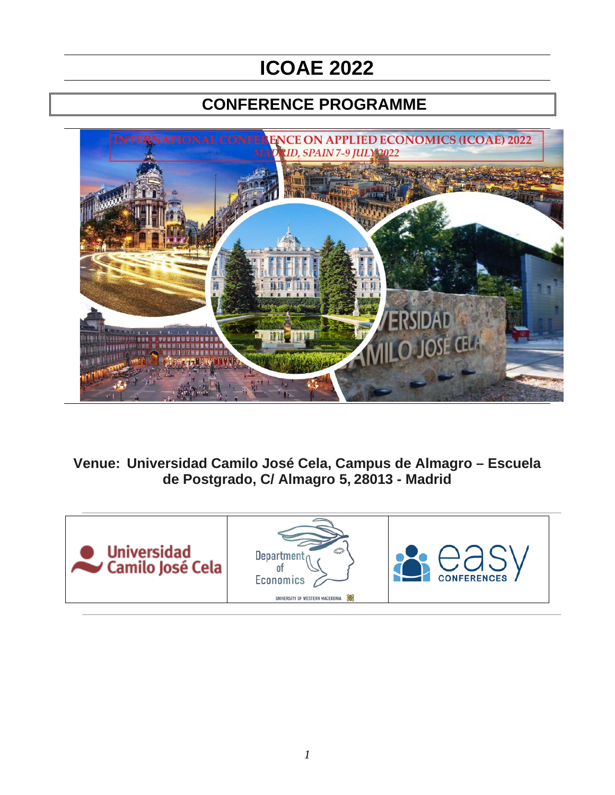# **ICOAE 2022**

# **CONFERENCE PROGRAMME**



**Venue: Universidad Camilo José Cela, Campus de Almagro – Escuela de Postgrado, C/ Almagro 5, 28013 - Madrid**

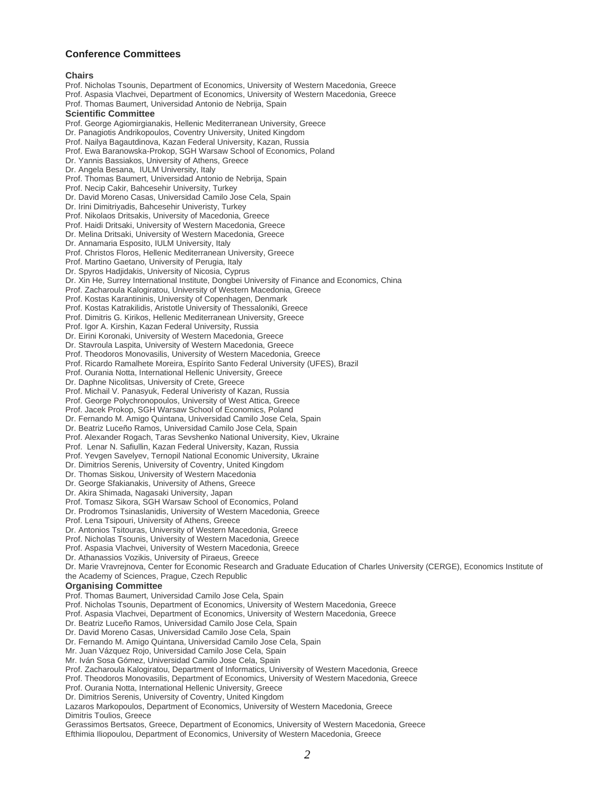#### **Conference Committees**

#### **Chairs**

Prof. Nicholas Tsounis, Department of Economics, University of Western Macedonia, Greece Prof. Aspasia Vlachvei, Department of Economics, University of Western Macedonia, Greece Prof. Thomas Baumert, Universidad Antonio de Nebrija, Spain **Scientific Committee** Prof. George Agiomirgianakis, Hellenic Mediterranean University, Greece Dr. Panagiotis Andrikopoulos, Coventry University, United Kingdom Prof. Nailya Bagautdinova, Kazan Federal University, Kazan, Russia Prof. Ewa Baranowska-Prokop, SGH Warsaw School of Economics, Poland Dr. Yannis Bassiakos, University of Athens, Greece Dr. Angela Besana, IULM University, Italy Prof. Thomas Baumert, Universidad Antonio de Nebrija, Spain Prof. Necip Cakir, Bahcesehir University, Turkey Dr. David Moreno Casas, Universidad Camilo Jose Cela, Spain Dr. Irini Dimitriyadis, Bahcesehir Univeristy, Turkey Prof. Nikolaos Dritsakis, University of Macedonia, Greece Prof. Haidi Dritsaki, University of Western Macedonia, Greece Dr. Melina Dritsaki, University of Western Macedonia, Greece Dr. Annamaria Esposito, IULM University, Italy Prof. Christos Floros, Hellenic Mediterranean University, Greece Prof. Martino Gaetano, University of Perugia, Italy Dr. Spyros Hadjidakis, University of Nicosia, Cyprus Dr. Xin He, Surrey International Institute, Dongbei University of Finance and Economics, China Prof. Zacharoula Kalogiratou, University of Western Macedonia, Greece Prof. Kostas Karantininis, University of Copenhagen, Denmark Prof. Kostas Katrakilidis, Aristotle University of Thessaloniki, Greece Prof. Dimitris G. Kirikos, Hellenic Mediterranean University, Greece Prof. Igor A. Kirshin, Kazan Federal University, Russia Dr. Eirini Koronaki, University of Western Macedonia, Greece Dr. Stavroula Laspita, University of Western Macedonia, Greece Prof. Theodoros Monovasilis, University of Western Macedonia, Greece Prof. Ricardo Ramalhete Moreira, Espírito Santo Federal University (UFES), Brazil Prof. Ourania Notta, International Hellenic University, Greece Dr. Daphne Nicolitsas, University of Crete, Greece Prof. Michail V. Panasyuk, Federal Univeristy of Kazan, Russia Prof. George Polychronopoulos, University of West Attica, Greece Prof. Jacek Prokop, SGH Warsaw School of Economics, Poland Dr. Fernando M. Amigo Quintana, Universidad Camilo Jose Cela, Spain Dr. Beatriz Luceño Ramos, Universidad Camilo Jose Cela, Spain Prof. Alexander Rogach, Taras Sevshenko National University, Kiev, Ukraine Prof. Lenar N. Safiullin, Kazan Federal University, Kazan, Russia Prof. Yevgen Savelyev, Ternopil National Economic University, Ukraine Dr. Dimitrios Serenis, University of Coventry, United Kingdom Dr. Thomas Siskou, University of Western Macedonia Dr. George Sfakianakis, University of Athens, Greece Dr. Akira Shimada, Nagasaki University, Japan Prof. Tomasz Sikora, SGH Warsaw School of Economics, Poland Dr. Prodromos Tsinaslanidis, University of Western Macedonia, Greece Prof. Lena Tsipouri, University of Athens, Greece Dr. Antonios Tsitouras, University of Western Macedonia, Greece Prof. Nicholas Tsounis, University of Western Macedonia, Greece Prof. Aspasia Vlachvei, University of Western Macedonia, Greece Dr. Athanassios Vozikis, University of Piraeus, Greece Dr. Marie Vravrejnova, Center for Economic Research and Graduate Education of Charles University (CERGE), Economics Institute of the Academy of Sciences, Prague, Czech Republic **Organising Committee** Prof. Thomas Baumert, Universidad Camilo Jose Cela, Spain Prof. Nicholas Tsounis, Department of Economics, University of Western Macedonia, Greece Prof. Aspasia Vlachvei, Department of Economics, University of Western Macedonia, Greece Dr. Beatriz Luceño Ramos, Universidad Camilo Jose Cela, Spain Dr. David Moreno Casas, Universidad Camilo Jose Cela, Spain Dr. Fernando M. Amigo Quintana, Universidad Camilo Jose Cela, Spain Mr. Juan Vázquez Rojo, Universidad Camilo Jose Cela, Spain Mr. Iván Sosa Gómez, Universidad Camilo Jose Cela, Spain Prof. Zacharoula Kalogiratou, Department of Informatics, University of Western Macedonia, Greece Prof. Theodoros Monovasilis, Department of Economics, University of Western Macedonia, Greece Prof. Ourania Notta, International Hellenic University, Greece Dr. Dimitrios Serenis, University of Coventry, United Kingdom Lazaros Markopoulos, Department of Economics, University of Western Macedonia, Greece Dimitris Toulios, Greece Gerassimos Bertsatos, Greece, Department of Economics, University of Western Macedonia, Greece Efthimia Iliopoulou, Department of Economics, University of Western Macedonia, Greece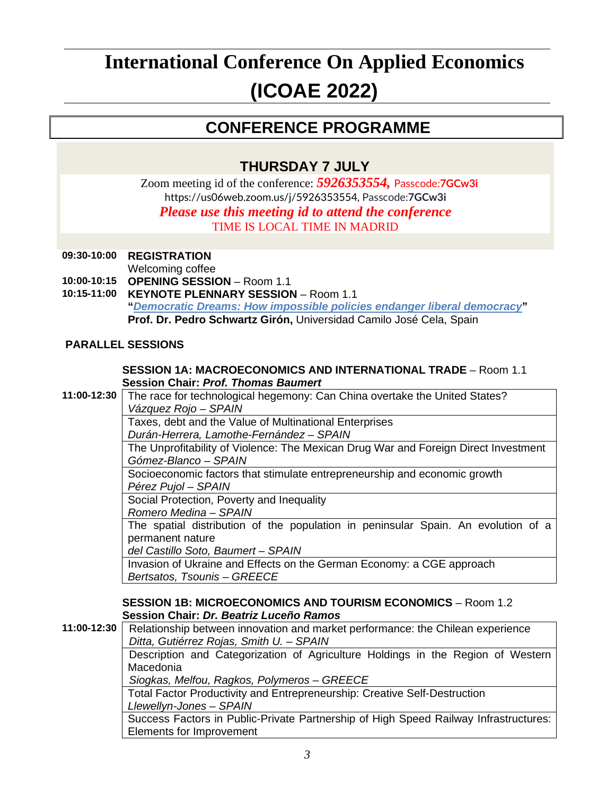# **International Conference On Applied Economics (ICOAE 2022)**

# **CONFERENCE PROGRAMME**

# **THURSDAY 7 JULY**

Zoom meeting id of the conference: *5926353554,* Passcode:**7GCw3i** [https://us06web.zoom.us/j/5926353554,](https://us06web.zoom.us/j/5926353554) Passcode:**7GCw3i** *Please use this meeting id to attend the conference* TIME IS LOCAL TIME IN MADRID

## **09:30-10:00 REGISTRATION**

Welcoming coffee

**10:00-10:15 OPENING SESSION** – Room 1.1

**10:15-11:00 KEYNOTE PLENNARY SESSION** – Room 1.1 **"***Democratic Dreams: [How impossible policies endanger liberal democracy](https://i-coae.com/wp-content/uploads/articles/2022/06/Pedro-Schwartz-2022.pdf)***" Prof. Dr. Pedro Schwartz Girón,** Universidad Camilo José Cela, Spain

### **PARALLEL SESSIONS**

#### **SESSION 1A: MACROECONOMICS AND INTERNATIONAL TRADE** – Room 1.1 **Session Chair:** *Prof. Thomas Baumert*

**11:00-12:30** The race for technological hegemony: Can China overtake the United States? *Vázquez Rojo – SPAIN*

Taxes, debt and the Value of Multinational Enterprises

*Durán-Herrera, Lamothe-Fernández – SPAIN*

The Unprofitability of Violence: The Mexican Drug War and Foreign Direct Investment *Gómez-Blanco – SPAIN*

Socioeconomic factors that stimulate entrepreneurship and economic growth *Pérez Pujol – SPAIN*

Social Protection, Poverty and Inequality

*Romero Medina – SPAIN*

The spatial distribution of the population in peninsular Spain. An evolution of a permanent nature

*del Castillo Soto, Baumert – SPAIN*

Invasion of Ukraine and Effects on the German Economy: a CGE approach *Bertsatos, Tsounis – GREECE*

#### **SESSION 1B: MICROECONOMICS AND TOURISM ECONOMICS** – Room 1.2 **Session Chair:** *Dr. Beatriz Luceño Ramos*

**11:00-12:30** Relationship between innovation and market performance: the Chilean experience *Ditta, Gutiérrez Rojas, Smith U. – SPAIN* Description and Categorization of Agriculture Holdings in the Region of Western Macedonia *Siogkas, Melfou, Ragkos, Polymeros – GREECE* Total Factor Productivity and Entrepreneurship: Creative Self-Destruction *Llewellyn-Jones – SPAIN* Success Factors in Public-Private Partnership of High Speed Railway Infrastructures: Elements for Improvement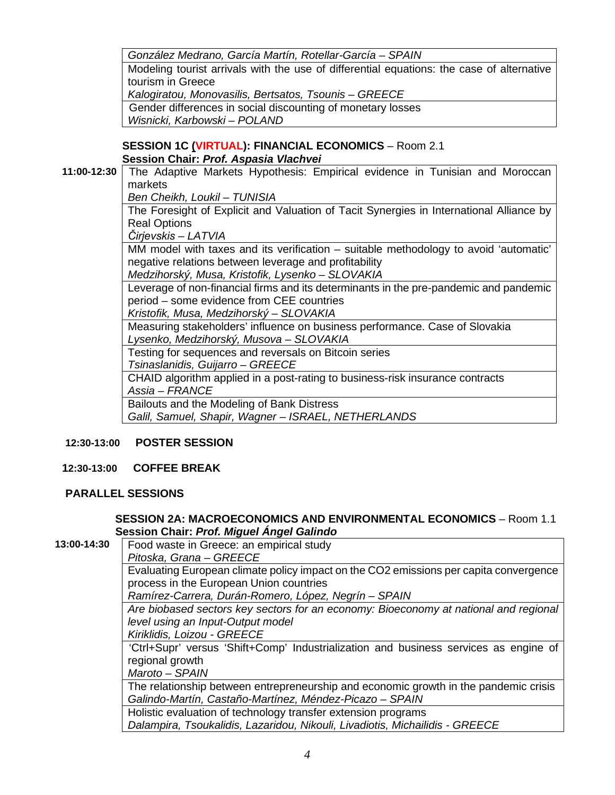|             | González Medrano, García Martín, Rotellar-García - SPAIN                                  |
|-------------|-------------------------------------------------------------------------------------------|
|             | Modeling tourist arrivals with the use of differential equations: the case of alternative |
|             | tourism in Greece                                                                         |
|             | Kalogiratou, Monovasilis, Bertsatos, Tsounis - GREECE                                     |
|             | Gender differences in social discounting of monetary losses                               |
|             | Wisnicki, Karbowski - POLAND                                                              |
|             |                                                                                           |
|             | SESSION 1C (VIRTUAL): FINANCIAL ECONOMICS - Room 2.1                                      |
|             | Session Chair: Prof. Aspasia Vlachvei                                                     |
| 11:00-12:30 | The Adaptive Markets Hypothesis: Empirical evidence in Tunisian and Moroccan              |
|             | markets                                                                                   |
|             | Ben Cheikh, Loukil - TUNISIA                                                              |
|             | The Foresight of Explicit and Valuation of Tacit Synergies in International Alliance by   |
|             | <b>Real Options</b>                                                                       |
|             | Čirjevskis – LATVIA                                                                       |
|             | MM model with taxes and its verification – suitable methodology to avoid 'automatic'      |
|             | negative relations between leverage and profitability                                     |
|             | Medzihorský, Musa, Kristofik, Lysenko - SLOVAKIA                                          |
|             | Leverage of non-financial firms and its determinants in the pre-pandemic and pandemic     |
|             | period - some evidence from CEE countries                                                 |
|             | Kristofik, Musa, Medzihorský – SLOVAKIA                                                   |
|             | Measuring stakeholders' influence on business performance. Case of Slovakia               |
|             | Lysenko, Medzihorský, Musova - SLOVAKIA                                                   |
|             | Testing for sequences and reversals on Bitcoin series                                     |
|             | Tsinaslanidis, Guijarro - GREECE                                                          |
|             | CHAID algorithm applied in a post-rating to business-risk insurance contracts             |
|             | Assia - FRANCE                                                                            |
|             | Bailouts and the Modeling of Bank Distress                                                |
|             | Galil, Samuel, Shapir, Wagner - ISRAEL, NETHERLANDS                                       |
|             |                                                                                           |

## **12:30-13:00 POSTER SESSION**

#### **12:30-13:00 COFFEE BREAK**

### **PARALLEL SESSIONS**

### **SESSION 2A: MACROECONOMICS AND ENVIRONMENTAL ECONOMICS** – Room 1.1 **Session Chair:** *Prof. Miguel Ángel Galindo*

| 13:00-14:30 | Food waste in Greece: an empirical study                                              |
|-------------|---------------------------------------------------------------------------------------|
|             | Pitoska, Grana - GREECE                                                               |
|             | Evaluating European climate policy impact on the CO2 emissions per capita convergence |
|             | process in the European Union countries                                               |
|             | Ramírez-Carrera, Durán-Romero, López, Negrín - SPAIN                                  |
|             | Are biobased sectors key sectors for an economy: Bioeconomy at national and regional  |
|             | level using an Input-Output model                                                     |
|             | Kiriklidis, Loizou - GREECE                                                           |
|             | 'Ctrl+Supr' versus 'Shift+Comp' Industrialization and business services as engine of  |
|             | regional growth                                                                       |
|             | Maroto - SPAIN                                                                        |
|             | The relationship between entrepreneurship and economic growth in the pandemic crisis  |
|             | Galindo-Martín, Castaño-Martínez, Méndez-Picazo - SPAIN                               |
|             | Holistic evaluation of technology transfer extension programs                         |
|             | Dalampira, Tsoukalidis, Lazaridou, Nikouli, Livadiotis, Michailidis - GREECE          |
|             |                                                                                       |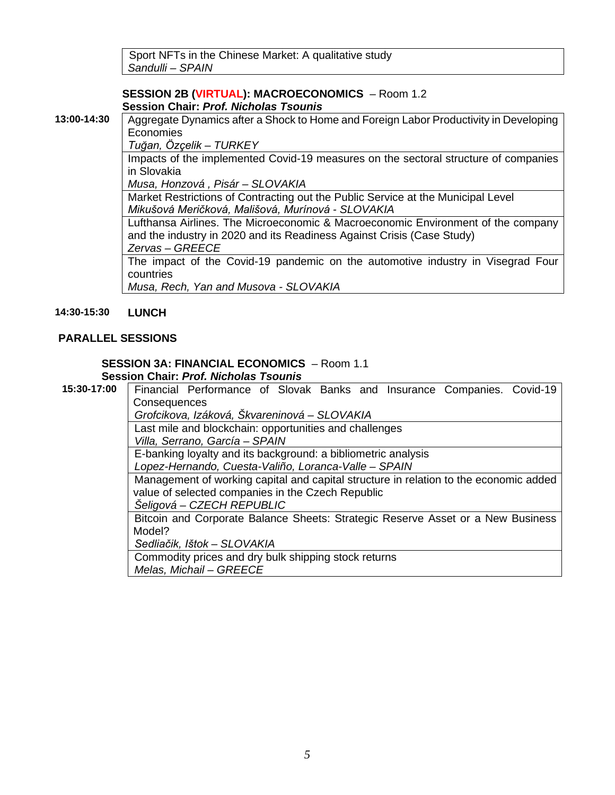Sport NFTs in the Chinese Market: A qualitative study *Sandulli – SPAIN*

#### **SESSION 2B (VIRTUAL): MACROECONOMICS** – Room 1.2 **Session Chair:** *Prof. Nicholas Tsounis*

**13:00-14:30** Aggregate Dynamics after a Shock to Home and Foreign Labor Productivity in Developing Economies

*Tuğan, Özçelik – TURKEY*

Impacts of the implemented Covid-19 measures on the sectoral structure of companies in Slovakia

*Musa, Honzová , Pisár – SLOVAKIA*

Market Restrictions of Contracting out the Public Service at the Municipal Level *Mikušová Meričková, Mališová, Murínová - SLOVAKIA*

Lufthansa Airlines. The Microeconomic & Macroeconomic Environment of the company and the industry in 2020 and its Readiness Against Crisis (Case Study) *Zervas – GREECE*

The impact of the Covid-19 pandemic on the automotive industry in Visegrad Four countries

*Musa, Rech, Yan and Musova - SLOVAKIA*

#### **14:30-15:30 LUNCH**

#### **PARALLEL SESSIONS**

# **SESSION 3A: FINANCIAL ECONOMICS** – Room 1.1

**Session Chair:** *Prof. Nicholas Tsounis*<br>15:30-17:00 **Financial Performance of Slova** Financial Performance of Slovak Banks and Insurance Companies. Covid-19 **Consequences** *Grofcikova, Izáková, Škvareninová – SLOVAKIA* Last mile and blockchain: opportunities and challenges *Villa, Serrano, García – SPAIN* E-banking loyalty and its background: a bibliometric analysis *Lopez-Hernando, Cuesta-Valiño, Loranca-Valle – SPAIN* Management of working capital and capital structure in relation to the economic added value of selected companies in the Czech Republic *Šeligová – CZECH REPUBLIC* Bitcoin and Corporate Balance Sheets: Strategic Reserve Asset or a New Business Model? *Sedliačik, Ištok – SLOVAKIA* Commodity prices and dry bulk shipping stock returns *Melas, Michail – GREECE*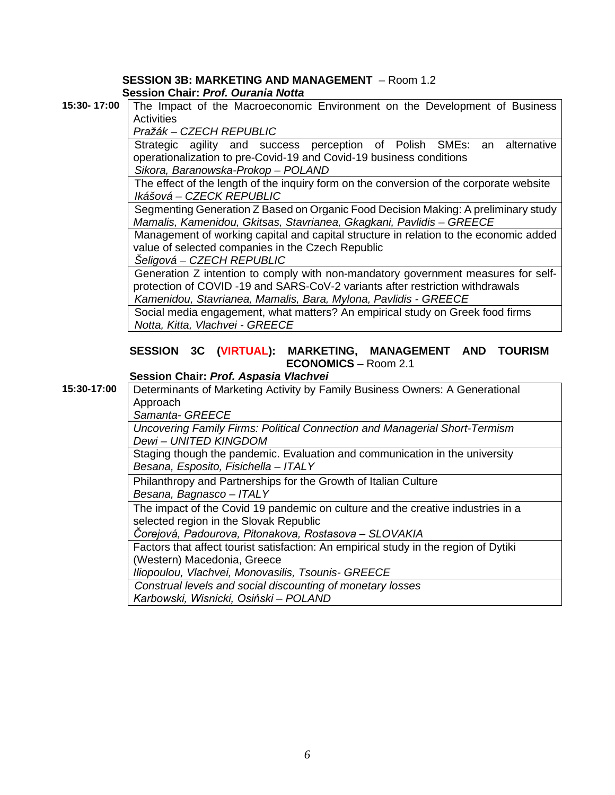#### **SESSION 3B: MARKETING AND MANAGEMENT** – Room 1.2 **Session Chair:** *Prof. Ourania Notta*

**15:30- 17:00** The Impact of the Macroeconomic Environment on the Development of Business **Activities** 

*Pražák – CZECH REPUBLIC*

Strategic agility and success perception of Polish SMEs: an alternative operationalization to pre-Covid-19 and Covid-19 business conditions *Sikora, Baranowska-Prokop – POLAND*

The effect of the length of the inquiry form on the conversion of the corporate website *Ikášová – CZECK REPUBLIC*

Segmenting Generation Z Based on Organic Food Decision Making: A preliminary study *Mamalis, Kamenidou, Gkitsas, Stavrianea, Gkagkani, Pavlidis – GREECE*

Management of working capital and capital structure in relation to the economic added value of selected companies in the Czech Republic

*Šeligová – CZECH REPUBLIC*

Generation Z intention to comply with non-mandatory government measures for selfprotection of COVID -19 and SARS-CoV-2 variants after restriction withdrawals *Kamenidou, Stavrianea, Mamalis, Bara, Mylona, Pavlidis - GREECE*

Social media engagement, what matters? An empirical study on Greek food firms *Notta, Kitta, Vlachvei - GREECE*

### **SESSION 3C (VIRTUAL): MARKETING, MANAGEMENT AND TOURISM ECONOMICS** – Room 2.1

## **Session Chair:** *Prof. Aspasia Vlachvei*

**15:30-17:00** Determinants of Marketing Activity by Family Business Owners: A Generational Approach *Samanta- GREECE Uncovering Family Firms: Political Connection and Managerial Short-Termism Dewi – UNITED KINGDOM* Staging though the pandemic. Evaluation and communication in the university

*Besana, Esposito, Fisichella – ITALY*

Philanthropy and Partnerships for the Growth of Italian Culture *Besana, Bagnasco – ITALY*

The impact of the Covid 19 pandemic on culture and the creative industries in a selected region in the Slovak Republic

*Čorejová, Padourova, Pitonakova, Rostasova – SLOVAKIA*

Factors that affect tourist satisfaction: An empirical study in the region of Dytiki (Western) Macedonia, Greece

*Iliopoulou, Vlachvei, Monovasilis, Tsounis- GREECE*

*Construal levels and social discounting of monetary losses Karbowski, Wisnicki, Osiński – POLAND*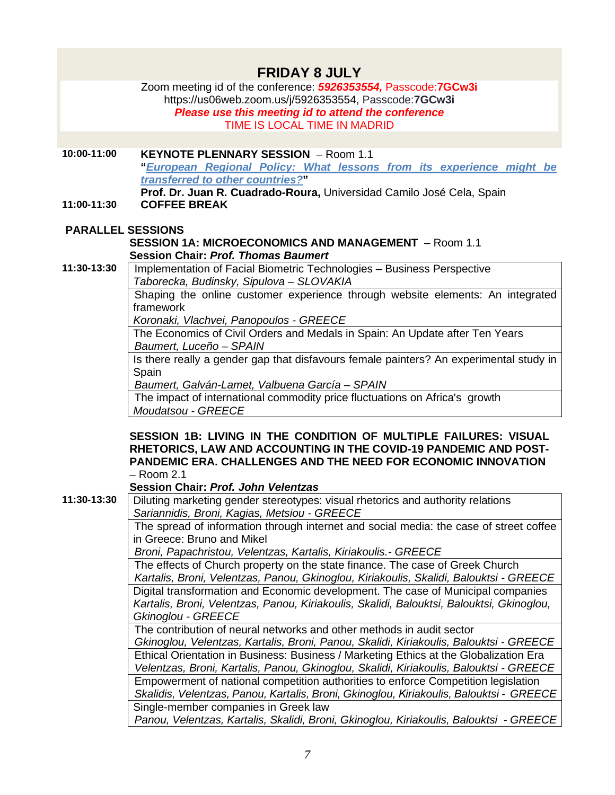|                          | <b>FRIDAY 8 JULY</b>                                                                                                                                                                                         |
|--------------------------|--------------------------------------------------------------------------------------------------------------------------------------------------------------------------------------------------------------|
|                          | Zoom meeting id of the conference: 5926353554, Passcode:7GCw3i<br>https://us06web.zoom.us/j/5926353554, Passcode:7GCw3i<br>Please use this meeting id to attend the conference                               |
|                          | TIME IS LOCAL TIME IN MADRID                                                                                                                                                                                 |
|                          |                                                                                                                                                                                                              |
| 10:00-11:00              | <b>KEYNOTE PLENNARY SESSION</b> - Room 1.1<br>"European Regional Policy: What lessons from its experience might be<br>transferred to other countries?"                                                       |
| 11:00-11:30              | Prof. Dr. Juan R. Cuadrado-Roura, Universidad Camilo José Cela, Spain<br><b>COFFEE BREAK</b>                                                                                                                 |
| <b>PARALLEL SESSIONS</b> |                                                                                                                                                                                                              |
|                          | <b>SESSION 1A: MICROECONOMICS AND MANAGEMENT - Room 1.1</b>                                                                                                                                                  |
|                          | <b>Session Chair: Prof. Thomas Baumert</b>                                                                                                                                                                   |
| 11:30-13:30              | Implementation of Facial Biometric Technologies - Business Perspective                                                                                                                                       |
|                          | Taborecka, Budinsky, Sipulova - SLOVAKIA                                                                                                                                                                     |
|                          | Shaping the online customer experience through website elements: An integrated<br>framework                                                                                                                  |
|                          | Koronaki, Vlachvei, Panopoulos - GREECE                                                                                                                                                                      |
|                          | The Economics of Civil Orders and Medals in Spain: An Update after Ten Years                                                                                                                                 |
|                          | Baumert, Luceño - SPAIN                                                                                                                                                                                      |
|                          | Is there really a gender gap that disfavours female painters? An experimental study in<br>Spain                                                                                                              |
|                          | Baumert, Galván-Lamet, Valbuena García - SPAIN                                                                                                                                                               |
|                          | The impact of international commodity price fluctuations on Africa's growth                                                                                                                                  |
|                          | Moudatsou - GREECE                                                                                                                                                                                           |
|                          | SESSION 1B: LIVING IN THE CONDITION OF MULTIPLE FAILURES: VISUAL<br>RHETORICS, LAW AND ACCOUNTING IN THE COVID-19 PANDEMIC AND POST-<br><b>PANDEMIC ERA. CHALLENGES AND THE NEED FOR ECONOMIC INNOVATION</b> |
|                          | $-$ Room 2.1                                                                                                                                                                                                 |
|                          | Session Chair: Prof. John Velentzas                                                                                                                                                                          |
| 11:30-13:30              | Diluting marketing gender stereotypes: visual rhetorics and authority relations                                                                                                                              |
|                          | Sariannidis, Broni, Kagias, Metsiou - GREECE                                                                                                                                                                 |
|                          | The spread of information through internet and social media: the case of street coffee                                                                                                                       |
|                          | in Greece: Bruno and Mikel<br>Broni, Papachristou, Velentzas, Kartalis, Kiriakoulis. - GREECE                                                                                                                |
|                          | The effects of Church property on the state finance. The case of Greek Church                                                                                                                                |
|                          | Kartalis, Broni, Velentzas, Panou, Gkinoglou, Kiriakoulis, Skalidi, Balouktsi - GREECE                                                                                                                       |
|                          | Digital transformation and Economic development. The case of Municipal companies                                                                                                                             |
|                          | Kartalis, Broni, Velentzas, Panou, Kiriakoulis, Skalidi, Balouktsi, Balouktsi, Gkinoglou,                                                                                                                    |
|                          | Gkinoglou - GREECE                                                                                                                                                                                           |
|                          | The contribution of neural networks and other methods in audit sector<br>Gkinoglou, Velentzas, Kartalis, Broni, Panou, Skalidi, Kiriakoulis, Balouktsi - GREECE                                              |
|                          | Ethical Orientation in Business: Business / Marketing Ethics at the Globalization Era                                                                                                                        |
|                          | Velentzas, Broni, Kartalis, Panou, Gkinoglou, Skalidi, Kiriakoulis, Balouktsi - GREECE                                                                                                                       |
|                          | Empowerment of national competition authorities to enforce Competition legislation                                                                                                                           |
|                          | Skalidis, Velentzas, Panou, Kartalis, Broni, Gkinoglou, Kiriakoulis, Balouktsi - GREECE                                                                                                                      |
|                          | Single-member companies in Greek law                                                                                                                                                                         |
|                          | Panou, Velentzas, Kartalis, Skalidi, Broni, Gkinoglou, Kiriakoulis, Balouktsi - GREECE                                                                                                                       |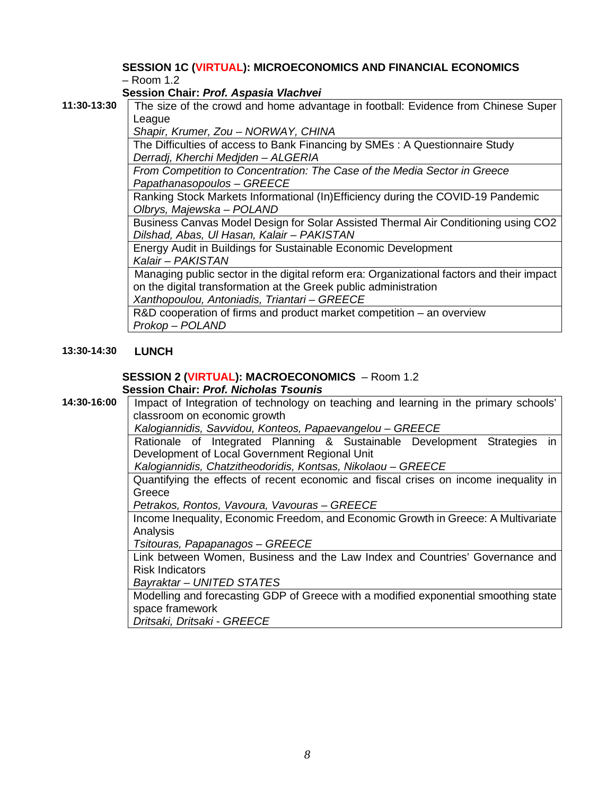#### **SESSION 1C (VIRTUAL): MICROECONOMICS AND FINANCIAL ECONOMICS** – Room 1.2

**Session Chair:** *Prof. Aspasia Vlachvei*

**11:30-13:30** The size of the crowd and home advantage in football: Evidence from Chinese Super

League *Shapir, Krumer, Zou – NORWAY, CHINA*

The Difficulties of access to Bank Financing by SMEs : A Questionnaire Study *Derradj, Kherchi Medjden – ALGERIA*

*From Competition to Concentration: The Case of the Media Sector in Greece Papathanasopoulos – GREECE*

Ranking Stock Markets Informational (In)Efficiency during the COVID-19 Pandemic *Olbrys, Majewska – POLAND*

Business Canvas Model Design for Solar Assisted Thermal Air Conditioning using CO2 *Dilshad, Abas, Ul Hasan, Kalair – PAKISTAN*

Energy Audit in Buildings for Sustainable Economic Development *Kalair – PAKISTAN*

Managing public sector in the digital reform era: Organizational factors and their impact on the digital transformation at the Greek public administration

*Xanthopoulou, Antoniadis, Triantari – GREECE*

R&D cooperation of firms and product market competition – an overview *Prokop – POLAND*

### **13:30-14:30 LUNCH**

#### **SESSION 2 (VIRTUAL): MACROECONOMICS** – Room 1.2 **Session Chair:** *Prof. Nicholas Tsounis*

14:30-16:00 | Impact of Integration of technology on teaching and learning in the primary schools' classroom on economic growth

*Kalogiannidis, Savvidou, Konteos, Papaevangelou – GREECE*

Rationale of Integrated Planning & Sustainable Development Strategies in Development of Local Government Regional Unit

*Kalogiannidis, Chatzitheodoridis, Kontsas, Nikolaou – GREECE*

Quantifying the effects of recent economic and fiscal crises on income inequality in **Greece** 

*Petrakos, Rontos, Vavoura, Vavouras – GREECE*

Income Inequality, Economic Freedom, and Economic Growth in Greece: A Multivariate Analysis

*Tsitouras, Papapanagos – GREECE*

Link between Women, Business and the Law Index and Countries' Governance and Risk Indicators

*Bayraktar – UNITED STATES*

Modelling and forecasting GDP of Greece with a modified exponential smoothing state space framework

*Dritsaki, Dritsaki - GREECE*